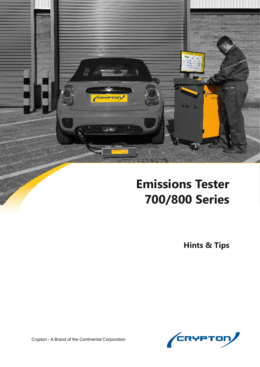

# **Emissions Tester 700/800 Series**

**Hints & Tips**



Crypton - A Brand of the Continental Corporation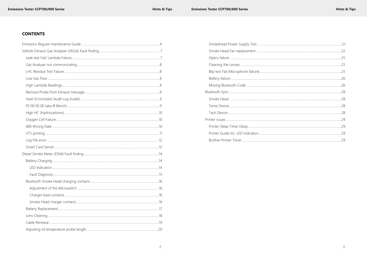# **CONTENTS**

| Smokehead Power Supply Test         |
|-------------------------------------|
| Smoke Head Fan replacement          |
|                                     |
|                                     |
| Blip test Fail (Microphone failure) |
|                                     |
|                                     |
|                                     |
|                                     |
|                                     |
|                                     |
|                                     |
|                                     |
| Printer Guide Inc. LED Indicators   |
|                                     |
|                                     |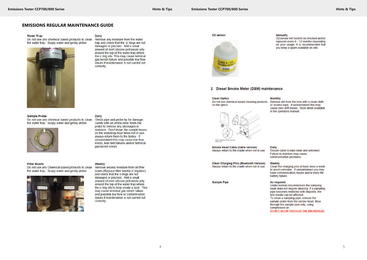**Hints & Tips** 

#### **EMISSIONS REGULAR MAINTENANCE GUIDE**

#### **Water Trap**

Do not use any chemical based products to clean the water trap. Soapy water and gently airline.



#### **Sample Probe**

Do not use any chemical based products to clean the water trap. Soapy water and gently airline.



#### **Filter Bowls**

Do not use any Chemical based products to clean the water trap. Soapy water and gently airline.



#### Daily

Remove any moisture from the water trap and check that the 'o' rings are not damaged or pinched. Add a small amount of inert silicone petroleum jelly around the top of the water trap where the o ring sits. This may cause terminal gas bench failure and possible low flow issues if maintenance is not carried out correctly.

O2 sensor



#### 2 Diesel Smoke Meter (DSM) maintenance



**Monthly** 



Smoke Head Cable (cable version) Always return to the cradle when not in use.

Clean Charging Pins (Bluetooth Version) Always return to the cradle when not in use.

Dally

Weekly Clean the charging pins at least once a week to avoid corrosion. If unmaintained you may have communication issues and/or early life battery failure.

**Sample Pipe** 

As required Under normal circumstances the sampling head does not require cleaning. If a sampling pipe becomes restricted with deposits, the test results can be affected. To clean a sampling pipe, remove the sample probe from the smoke head. Blow through the sample pipe only, using compressed air. DO NOT BLOW THROUGH THE SMOKEHEAD.

Daily

Check pipe and probe tip for damage. Gently with an airline blow down the probe to remove any blockages or moisture. Don't leave the sample hoses on the workshop floor when not in use. always return them to the trolley. If unmaintained this may cause low flow errors, leak test failures and/or terminal gas bench errors.

#### Weekly

Remove excess moisture from all filter bowls (Replace filter weekly if required) and check that the o rings are not damaged or pinched. Add a small amount of inert silicone petroleum jelly around the top of the water trap where the o ring sits to help create a seal. This may cause terminal gas bench failure and possible low flow or contamination issues if maintenance is not carried out correctly.

#### Annually

O2 sensor will need to be checked and/or replaced every 6 - 12 months depending on your usage. It is recommended that you keep a spare available on site.

or alcohol wipe. If unmaintained this may cause zero drift issues. More detail available in the operators manual.

Ensure cable is kept clean and unkinked. Failure to maintain may cause communication problems.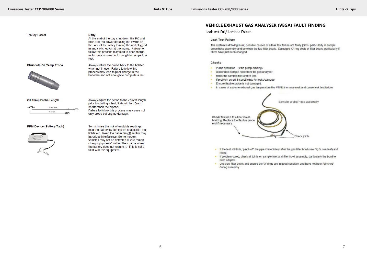#### **Hints & Tips**

**Trolley Power** 

**Bluetooth Oil Temp Probe** 



#### Oil Temp Probe Length

| ī | Flexible probe |  |
|---|----------------|--|
|   | Oil dinstick   |  |

#### **RPM Device (Battery Tach)**



**Daily** 

At the end of the day shut down the PC and then turn the power off using the switch on the side of the trolley leaving the unit plugged in and switched on at the mains. Failure to follow this process may lead to poor charge in the batteries and not enough to complete a test.

Always return the probe back to the holster when not in use. Failure to follow this process may lead to poor charge in the batteries and not enough to complete a test.

Always adjust the probe to the correct length prior to starting a test, it should be 10mm shorter than the dipstick. Failure to follow this process may cause not only probe but engine damage.

To minimise the risk of unstable readings load the battery by turning on headlights, fog lights etc. Keep the cabin fan off as this may introduce interference. Some modern vehicles may not be detected due to "smart charging systems" cutting the charge when the battery does not require it. This is not a fault with the equipment.

# **VEHICLE EXHAUST GAS ANALYSER (VEGA) FAULT FINDING**

#### Leak test Fail/ Lambda Failure

#### **Leak Test Failure**

The system is drawing in air, possible causes of a leak test failure are faulty joints, particularly in sample probe/hose assembly and between the two filter bowls. Damaged 'O' ring seals of filter bowls, particularly if filters have just been changed.

#### Checks

- Pump operation Is the pump running?
- Disconnect sample hose from the gas analyser.
- Block the sample inlet and re-test. 45
- × If problem cured, inspect joints for leaks/damage
- Ensure flexible probe is not damaged.  $\mathbf{a}$  .
- In cases of extreme exhaust gas temperature the PTFE liner may melt and cause leak test failure

Check flexible p.t.f.e liner inside braiding. Replace the flexible probe end if necessary

- retest
- . If problem cured, check all joints on sample inlet and filter bowl assembly, particularly the bowl to bowl adapter.
- . Unscrew filter bowls and ensure the 'O' rings are in good condition and have not been 'pinched' during assembly.

Sample probe/hose assembly



. If the test still fails, 'pinch off' the pipe immediately after the gas filter bowl (see Fig 3, overleaf) and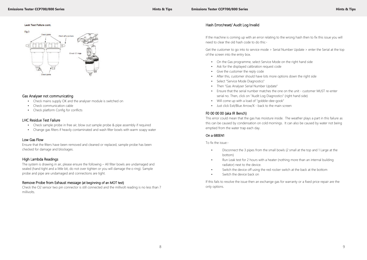# Gas Analyser not communicating

- Check mains supply OK and the analyser module is switched on
- Check communication cable
- Check platform Config for conflicts

# LHC Residue Test Failure

- Check sample probe in free air, blow out sample probe & pipe assembly if required
- Change gas filters if heavily contaminated and wash filter bowls with warm soapy water

# Low Gas Flow

Ensure that the filters have been removed and cleaned or replaced, sample probe has been checked for damage and blockages.

# High Lambda Readings

The system is drawing in air, please ensure the following – All filter bowls are undamaged and sealed (hand tight and a little bit, do not over tighten or you will damage the o ring). Sample probe and pipe are undamaged and connections are tight.

# Remove Probe from Exhaust message (at beginning of an MOT test)

Check the O2 sensor two pin connector is still connected and the millivolt reading is no less than 7 millivolts.

### Leak Test Fallure cont.



# Hash Error/reset/ Audit Log Invalid

- bottom)
- Run Leak test for 2 hours with a heater (nothing more than an internal building radiator) next to the device.
- Switch the device off using the red rocker switch at the back at the bottom
- Switch the device back on

If the machine is coming up with an error relating to the wrong hash then to fix this issue you will need to clear the old hash code to do this:-

Get the customer to go into to service mode > Serial Number Update > enter the Serial at the top of the screen into the entry box.

- On the Gas programme, select Service Mode on the right hand side
- Ask for the displayed calibration request code
- Give the customer the reply code
- After this, customer should have lots more options down the right side
- Select "Service Mode Diagnostics"
- Then "Gas Analyser Serial Number Update"
- Ensure that the serial number matches the one on the unit customer MUST re-enter serial no. Then, click on "Audit Log Diagnostics" (right hand side)
- Will come up with a load of "gobble-dee-gook"
- Just click Exit/Blue Arrow/X back to the main screen

# F0 00 00 00 (aka IR Bench)

This error could mean that the gas has moisture inside. The weather plays a part in this failure as this can be caused by condensation on cold mornings. It can also be caused by water not being emptied from the water trap each day.

# On a 680EN1

To fix the issue:-

• Disconnect the 3 pipes from the small bowls (2 small at the top and 1 Large at the

If this fails to resolve the issue then an exchange gas for warranty or a fixed price repair are the only options.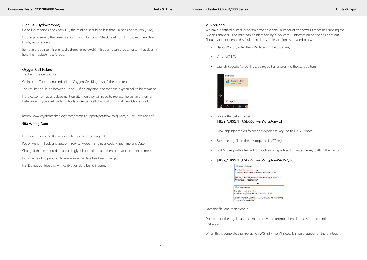# High HC (Hydrocarbons)

Go to live readings and check HC, the reading should be less than 20 parts per million (PPM)

If no improvement, then remove right hand filter bowl. Check readings, if improved then clean bowls, replace filters.

Remove probe see if it eventually drops to below 20. If it does, clean probe/hose, if that doesn't help then replace hose/probe.

# Oxygen Cell Failure

To check the Oxygen cell

Go into the Tools menu and select "Oxygen Cell Diagnostics" then run test.

The results should be between 5 and 13 if it's anything else then the oxygen cell to be replaced.

If the customer has a replacement on site then they will need to replace the cell and then run Install new Oxygen cell under: - Tools > Oxygen cell diagnostics> Install new Oxygen cell.

https://www.cryptontechnology.com/images/support/pdf/how-to-guides/o2-cell-expired.pdf

# 680 Wrong Date

If the unit is showing the wrong date this can be changed by

Petrol Menu > Tools and Setup > Service Mode > Engineer code > Set Time and Date

Changed the time and date accordingly, click continue and then exit back to the main menu

Do a live reading print out to make sure the date has been changed.

NB: Do not confuse this with calibration date being incorrect.

**TST** 

BWTS]

# VTS printing

We have identified a small program error on a small number of Windows 10 machines running the 682 gas analyser. The issue can be identified by a lack of VTS information on the gas print out. Should you experience this fault there is a simple solution as detailed below.

- Using WGTS3, enter the VTS details in the usual way.
- Close WGTS3.
- Launch Regedit (to do this type regedit after pressing the start button)



- Locate the below folder [HKEY\_CURRENT\_USER\Software\Crypton\vts]
- Now highlight the vts folder and export the key (go to File > Export)
- Save the reg file to the desktop, call it VTS.reg
- Edit VTS.reg with a text editor (such as notepad) and change the key path in the file to:

# • [HKEY\_CURRENT\_USER\Software\Crypton\WGTS3\vts]

| <b>Mission - Nothings</b>            |                                           |
|--------------------------------------|-------------------------------------------|
| Fle Edit Format View Help            |                                           |
|                                      | Windows Megistry Editor Version 5.00      |
| "visname" testsite                   | [HKEY_CURRENT_USER\Software\Crypton\\     |
| Istum Notavd                         |                                           |
| his built homed. Www. Help-          |                                           |
| Hindows Registry Editor Version 5.00 |                                           |
| "vlanume": "Leslaite"                | [HKEY CURRENT USER\Software\Crypton\W&TS) |
|                                      |                                           |

Save the file, and then close it.

Double-click the reg file and accept the elevated prompt, then click "Yes" to the continue message.

When this is complete then re-launch WGTS3 - the VTS details should appear on the printout.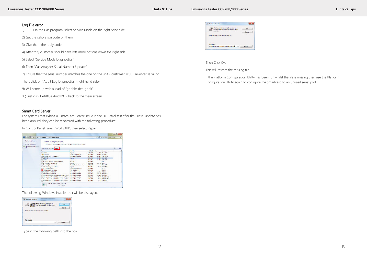#### **Emissions Tester CCP700/800 Series All and Series Hints & Tips Hints & Tips**

### Log File error

- 1) On the Gas program, select Service Mode on the right hand side
- 2) Get the calibration code off them
- 3) Give them the reply code
- 4) After this, customer should have lots more options down the right side
- 5) Select "Service Mode Diagnostics"
- 6) Then "Gas Analyser Serial Number Update"
- 7) Ensure that the serial number matches the one on the unit customer MUST re-enter serial no.
- Then, click on "Audit Log Diagnostics" (right hand side)
- 9) Will come up with a load of "gobble-dee-gook"
- 10) Just click Exit/Blue Arrow/X back to the main screen

### Smart Card Server

For systems that exhibit a 'SmartCard Server' issue in the UK Petrol test after the Diesel update has been applied, they can be recovered with the following procedure.

In Control Panel, select WGTS3UK, then select Repair.

|                                                                                            | Calculate II - Social and in Expansion Program and ballance                                                                  |                                                      |                                       |                  | . - The Company of the Con-            | <b>SP</b> |
|--------------------------------------------------------------------------------------------|------------------------------------------------------------------------------------------------------------------------------|------------------------------------------------------|---------------------------------------|------------------|----------------------------------------|-----------|
| <b>Lock of Ford Hotel</b><br><b>PP = BP1 Art autor:</b><br>Tiger Rubbaner Programs for any | Uningtall or change a program<br>has a modelling to commented at the inclusion of the interferomated international statement |                                                      |                                       |                  |                                        |           |
|                                                                                            | A harmonic chairman contact                                                                                                  |                                                      |                                       |                  |                                        |           |
|                                                                                            | <b>SALES</b>                                                                                                                 | <b><i><u>Automatics</u></i></b>                      | <b>Lighting Corp.</b>                 | <b>Sun</b>       | <b>CELAME</b>                          |           |
|                                                                                            | <b>NUMBER</b>                                                                                                                | Connect                                              | <b>SUBARU</b> K                       |                  | <b>SAME ALL MORE</b>                   |           |
|                                                                                            | <b>Walkerton</b>                                                                                                             | Windows Competency, Sta-                             | <b>COLLEGE</b>                        |                  | <b>ANNI DOM</b>                        |           |
|                                                                                            | Distribution in County and the                                                                                               | <b>BUSINESS COMMONS</b>                              | 49, 640, 6                            |                  | SALES AND LANE                         |           |
|                                                                                            | <b>FUTOR</b>                                                                                                                 | Cynam                                                | SUITABLE                              |                  | <b>CHINE SALEM</b>                     |           |
|                                                                                            | <b>KENNY NA</b><br>FIT-1871 WORK 1980191900                                                                                  | <b>Carolina</b><br>11155                             | 2016/06/10<br><b>NATIONAL</b>         |                  | <b>Safety</b> 182,504<br><b>IAI</b>    |           |
|                                                                                            | <b>King we had they lively</b><br>and the work and the state of the state.                                                   | <b>STORY</b><br>The book continues of the            | <b>GOVERN</b><br>WATER 1              | 2012/11/23 01:51 | <b>ANTON</b>                           |           |
|                                                                                            | <b>Continued and protect After</b>                                                                                           | <b>Contact</b>                                       | <b>BULWAY</b>                         |                  | SK-RX 10/2002                          |           |
|                                                                                            | <b>REPORT PARTIES</b>                                                                                                        | <b>United Management</b>                             | <b>Charles</b> II                     |                  | <b>ALCOHOL:</b>                        |           |
|                                                                                            | 13 100 Complete Lynda Million                                                                                                | 100 Complete Street                                  | MATLINE I                             |                  | 13,158                                 |           |
|                                                                                            | <b>IC MANDABURGH ASSIS</b><br><b>FOR A REAL PROPERTY</b>                                                                     | Marcell Convenience<br>with the sale of a management | <b>United States</b><br><b>INTER:</b> |                  | <b>CONTRACTOR</b><br><b>TOM DOMEST</b> |           |
|                                                                                            | 1. Marcell Yuan Cor 240 Michael Booking (2011)<br>http://www.com/com/2010.administration.com/2010.com/2010.com/2010.com/2010 | <b>Manual Complete</b>                               | <b>DOM NO</b><br><b>TUTUNE</b>        |                  | LETTER SHOWNE<br><b>CONTRACTOR</b> IL  |           |
|                                                                                            | First and Year On 201 February 1982 (2011) Haven't Complete                                                                  |                                                      | <b>PERMIT AND</b>                     |                  | <b>SECTION REPORTS</b>                 |           |
|                                                                                            | EL MANAR VISA E LU ALE BAREN MAR LIVER E  INVESTI ANNOVA                                                                     |                                                      | <b>Marine M. E.</b>                   |                  | NORTH STREET                           |           |
|                                                                                            | Plan and a more a                                                                                                            | 12.24                                                | -------                               |                  | ----------                             |           |

The following Windows Installer box will be displayed.

| Windows invision                                                                                         |              |
|----------------------------------------------------------------------------------------------------------|--------------|
| The feature you are thing to use a only.<br>CD-FOM or of write yields dake the area.<br><b>Weblatter</b> | čа<br>Cancel |
| hand the Warfard Mc dak and close OC.                                                                    |              |
| Use source                                                                                               |              |
|                                                                                                          |              |

Type in the following path into the box

| The feelure and are tying to use to an a.<br>(2) 1983 to adjust through this field is not<br>and the |  |
|------------------------------------------------------------------------------------------------------|--|
| bookline WHIS CIRCUM/and alich CR.<br><b>INTERNATIONAL PROPERTY OF</b>                               |  |
| <b>SAN BRANCH</b>                                                                                    |  |
| in Van Engelse filmske de en vergijn Subject git in Subject                                          |  |

Then Click Ok.

This will restore the missing file.

If the Platform Configuration Utility has been run whilst the file is missing then use the Platform Configuration Utility again to configure the Smartcard to an unused serial port.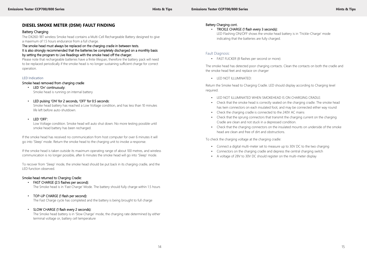# **DIESEL SMOKE METER (DSM) FAULT FINDING**

# Battery Charging

The DX260-1BT wireless Smoke head contains a Multi-Cell Rechargeable Battery designed to give a maximum of 1.5 hours endurance from a full charge.

# The smoke head must always be replaced on the charging cradle in between tests.

It is also strongly recommended that the batteries be completely discharged on a monthly basis by setting the program to Live Readings with the smoke head off the charger.

Please note that rechargeable batteries have a finite lifespan, therefore the battery pack will need to be replaced periodically if the smoke head is no longer sustaining sufficient charge for correct operation.

# LED Indication

# Smoke head removed from charging cradle:

• LED 'On' continuously: Smoke head is running on internal battery

# • LED pulsing 'ON' for 2 seconds, 'OFF' for 0.5 seconds:

Smoke head battery has reached a Low Voltage condition, and has less than 10 minutes life left before auto-shutdown.

# • LED 'OFF':

Low Voltage condition. Smoke head will auto shut down. No more testing possible until smoke head battery has been recharged.

If the smoke head has received no communication from host computer for over 6 minutes it will go into 'Sleep' mode. Return the smoke head to the charging unit to invoke a response.

If the smoke head is taken outside its maximum operating range of about 100 metres, and wireless communication is no longer possible, after 6 minutes the smoke head will go into 'Sleep' mode.

To recover from 'Sleep' mode, the smoke head should be put back in its charging cradle, and the LED function observed.

# Smoke head returned to Charging Cradle:

- FAST CHARGE (2.5 flashes per second): The Smoke head is in 'Fast Charge' Mode. The battery should fully charge within 1.5 hours
- TOP-UP CHARGE (1 flash per second):

The Fast Charge cycle has completed and the battery is being brought to full charge

# • SLOW CHARGE (1 flash every 2 seconds):

The Smoke head battery is in 'Slow Charge' mode, the charging rate determined by either terminal voltage or, battery cell temperature

#### Battery Charging cont.

• TRICKLE CHARGE (1 flash every 3 seconds): LED Flashing ON/OFF shows the smoke head battery is in 'Trickle-Charge' mode indicating that the batteries are fully charged.

# Fault Diagnosis:

• FAST FLICKER (8 flashes per second or more):

The smoke head has detected poor charging contacts. Clean the contacts on both the cradle and the smoke head feet and replace on charger

• LED NOT ILLUMINATED:

Return the Smoke head to Charging Cradle. LED should display according to Charging level required.

- LED NOT ILLUMINATED WHEN SMOKEHEAD IS ON CHARGING CRADLE:
- Check that the smoke head is correctly seated on the charging cradle. The smoke head has twin connectors on each insulated foot, and may be connected either way round
- Check the charging cradle is connected to the 240V AC mains
- Check that the sprung connectors that transmit the charging current on the charging Cradle are clean and not stuck in a depressed condition.
- Check that the charging connectors on the insulated mounts on underside of the smoke head are clean and free of dirt and obstructions.

To check the charging voltage at the charging cradle:

- Connect a digital multi-meter set to measure up to 30V DC to the two charging
- Connectors on the charging cradle and depress the central charging switch
- A voltage of 28V to 30V DC should register on the multi-meter display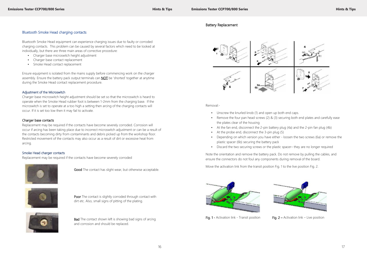# Bluetooth Smoke Head charging contacts

Bluetooth Smoke Head equipment can experience charging issues due to faulty or corroded charging contacts. This problem can be caused by several factors which need to be looked at individually, but there are three main areas of corrective procedure:

- Charger base microswitch height adjustment
- Charger base contact replacement
- Smoke Head contact replacement

Ensure equipment is isolated from the mains supply before commencing work on the charger assembly. Ensure the battery pack output terminals can **NOT** be 'shorted' together at anytime during the Smoke Head contact replacement procedure.

#### Adjustment of the Microswitch

Poor The contact is slightly corroded through contact with dirt etc. Also, small signs of pitting of the plating.



Charger base microswitch height adjustment should be set so that the microswitch is heard to operate when the Smoke Head rubber foot is between 1-2mm from the charging base. If the microswitch is set to operate at a too high a setting then arcing of the charging contacts will occur. If it is set too low then it may fail to activate.

#### Charger base contacts

Replacement may be required if the contacts have become severely corroded. Corrosion will occur if arcing has been taking place due to incorrect microswitch adjustment or can be a result of the contacts becoming dirty from contaminants and debris picked up from the workshop floor. Restricted movement of the contacts may also occur as a result of dirt or excessive heat from arcing.

#### Smoke Head charger contacts

Replacement may be required if the contacts have become severely corroded



Good The contact has slight wear, but otherwise acceptable.



Bad The contact shown left is showing bad signs of arcing and corrosion and should be replaced.



**Emissions Tester CCP700/800 Series Hints & Tips**

# Battery Replacement

Removal:-

- Unscrew the knurled knob (1) and open up both end caps.
- Remove the four pan head screws (2) & (3) securing both end plates and carefully ease the plates clear of the housing
- At the fan end, disconnect the 2-pin battery plug (4a) and the 2-pin fan plug (4b)
- At the probe end, disconnect the 3-pin plug (5)
- Depending on which version you have either loosen the two screws (6a) or remove the plastic spacer (6b) securing the battery pack
- Discard the two securing screws or the plastic spacer– they are no longer required

Note the orientation and remove the battery pack. Do not remove by pulling the cables, and ensure the connectors do not foul any components during removal of the board.

Move the activation link from the transit position Fig. 1 to the live position Fig. 2.





Fig. 1 - Activation link - Transit position Fig.  $2$  – Activation link – Live position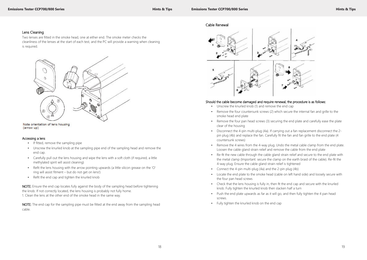**Emissions Tester CCP700/800 Series All 2008 Constructions and Construction Constructions and All 2009 Constructions and All 2009 Constructions and All 2009 Constructions and All 2009 Constructions and All 2009 Construct** 

### Lens Cleaning

Two lenses are fitted in the smoke head, one at either end. The smoke meter checks the cleanliness of the lenses at the start of each test, and the PC will provide a warning when cleaning is required.



Note orientation of lens housing (arrow up)

#### Accessing a lens

- If fitted, remove the sampling pipe
- Unscrew the knurled knob at the sampling pipe end of the sampling head and remove the end cap.
- Carefully pull out the lens housing and wipe the lens with a soft cloth (if required, a little methylated spirit will assist cleaning)
- Refit the lens housing with the arrow pointing upwards (a little silicon grease on the 'O' ring will assist fitment – but do not get on lens!)
- Refit the end cap and tighten the knurled knob

NOTE: The end cap for the sampling pipe must be fitted at the end away from the sampling head cable.



- Unscrew the knurled knob (1) and remove the end cap
- Remove the four countersunk screws (2) which secure the internal fan and grille to the smoke head end plate
- clear of the housing
- Disconnect the 4-pin multi-plug (4a). If carrying out a fan replacement disconnect the 2 countersunk screws)
- Remove the 4 wires from the 4-way plug. Undo the metal cable clamp from the end plate. Loosen the cable gland strain relief and remove the cable from the end plate
- Re-fit the new cable through the cable gland strain relief and secure to the end plate with 4-way plug. Ensure the cable gland strain relief is tightened
- Connect the 4-pin multi-plug (4a) and the 2-pin plug (4b)
- Locate the end plate to the smoke head (cable on left hand side) and loosely secure with the four pan head screws
- Check that the lens housing is fully in, then fit the end cap and secure with the knurled knob. Fully tighten the knurled knob then slacken half a turn
- Push the end plate upwards as far as it will go, and then fully tighten the 4 pan head screws.
- Fully tighten the knurled knob on the end cap

NOTE: Ensure the end cap locates fully against the body of the sampling head before tightening the knob. If not correctly located, the lens housing is probably not fully home. 1. Clean the lens at the other end of the smoke head in the same way.

Cable Renewal

# Should the cable become damaged and require renewal, the procedure is as follows:

• Remove the four pan head screws (3) securing the end plate and carefully ease the plate

pin plug (4b) and replace the fan. Carefully fit the fan and fan grille to the end plate (4

the metal clamp (Important: secure the clamp on the earth braid of the cable). Re-fit the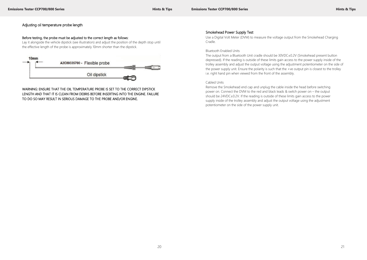# Adjusting oil temperature probe length

#### Before testing, the probe must be adjusted to the correct length as follows:

Lay it alongside the vehicle dipstick (see illustration) and adjust the position of the depth stop until the effective length of the probe is approximately 10mm shorter than the dipstick.



WARNING: ENSURE THAT THE OIL TEMPERATURE PROBE IS SET TO THE CORRECT DIPSTICK LENGTH AND THAT IT IS CLEAN FROM DEBRIS BEFORE INSERTING INTO THE ENGINE. FAILURE TO DO SO MAY RESULT IN SERIOUS DAMAGE TO THE PROBE AND/OR ENGINE.

### Smokehead Power Supply Test

Use a Digital Volt Meter (DVM) to measure the voltage output from the Smokehead Charging Cradle.

#### Bluetooth Enabled Units

The output from a Bluetooth Unit cradle should be 30VDC±0.2V (Smokehead present button depressed). If the reading is outside of these limits gain access to the power supply inside of the trolley assembly and adjust the output voltage using the adjustment potentiometer on the side of the power supply unit. Ensure the polarity is such that the +ve output pin is closest to the trolley i.e. right hand pin when viewed from the front of the assembly.

#### Cabled Units

Remove the Smokehead end cap and unplug the cable inside the head before switching power on. Connect the DVM to the red and black leads & switch power on – the output should be 24VDC±0.2V. If the reading is outside of these limits gain access to the power supply inside of the trolley assembly and adjust the output voltage using the adjustment potentiometer on the side of the power supply unit.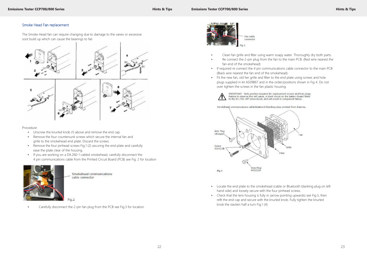# Smoke Head Fan replacement

The Smoke Head fan can require changing due to damage to the vanes or excessive soot build up which can cause the bearings to fail.



#### Procedure

- Unscrew the knurled knob (1) above and remove the end cap.
- Remove the four countersunk screws which secure the internal fan and grille to the smokehead end plate. Discard the screws.
- Remove the four pinhead screws Fig.1 (2) securing the end plate and carefully ease the plate clear of the housing.
- If you are working on a DX.260-1 cabled smokehead, carefully disconnect the 4 pin communications cable from the Printed Circuit Board (PCB) see Fig. 2 for location



Smokehead communications cable connector

• Carefully disconnect the 2-pin fan plug from the PCB see Fig.3 for location.



• Re connect the 2-pin plug from the fan to the main PCB. (Red wire nearest the

- Clean fan grille and filter using warm soapy water. Thoroughly dry both parts.
- fan end of the smokehead)
- If required re connect the 4 pin communications cable connector to the main PCB (Black wire nearest the fan end of the smokehead).
- Fit the new fan, old fan grille and filter to the end plate using screws and hole plugs supplied in kit AS09867 and in the order/positions shown in Fig 4. Do not over tighten the screws in the fan plastic housing.





- Locate the end plate to the smokehead (cable or Bluetooth blanking plug on left hand side) and loosely secure with the four pinhead screws.
- Check that the lens housing is fully in (arrow pointing upwards) see Fig.5, then refit the end cap and secure with the knurled knob. Fully tighten the knurled knob the slacken half a turn Fig.1 (4)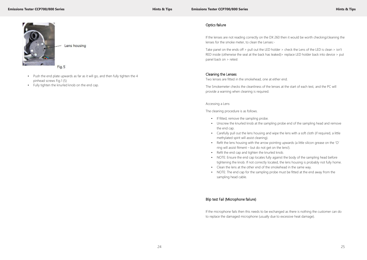

Lens housing

Fig.5

- Push the end plate upwards as far as it will go, and then fully tighten the 4 pinhead screws Fig.1 (5)
- Fully tighten the knurled knob on the end cap.

# Optics failure

Take panel on the ends off > pull out the LED holder > check the Lens of the LED is clean > isn't RED inside (otherwise the seal at the back has leaked) > replace LED holder back into device > put panel back on > retest

If the lenses are not reading correctly on the DX 260 then it would be worth checking/cleaning the lenses for the smoke meter, to clean the Lenses:-

# Cleaning the Lenses

Two lenses are fitted in the smokehead, one at either end.

The Smokemeter checks the cleanliness of the lenses at the start of each test, and the PC will provide a warning when cleaning is required.

#### Accessing a Lens

The cleaning procedure is as follows.

- If fitted, remove the sampling probe.
- Unscrew the knurled knob at the sampling probe end of the sampling head and remove the end cap.
- Carefully pull out the lens housing and wipe the lens with a soft cloth (if required, a little methylated spirit will assist cleaning).
- Refit the lens housing with the arrow pointing upwards (a little silicon grease on the 'O' ring will assist fitment – but do not get on the lens!).
- Refit the end cap and tighten the knurled knob.
- NOTE: Ensure the end cap locates fully against the body of the sampling head before tightening the knob. If not correctly located, the lens housing is probably not fully home.
- Clean the lens at the other end of the smokehead in the same way.
- NOTE: The end cap for the sampling probe must be fitted at the end away from the sampling head cable.

# Blip test Fail (Microphone failure)

If the microphone fails then this needs to be exchanged as there is nothing the customer can do to replace the damaged microphone (usually due to excessive heat damage).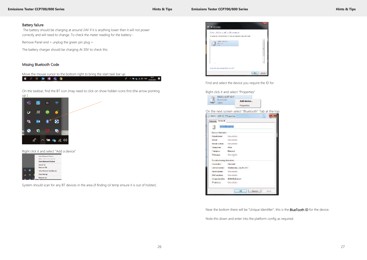$\label{eq:10} \mathcal{R} \rightarrow \mathbf{M} \mathbf{q}_0 \otimes \mathbf{0} \text{ for } \mathop{\mathrm{maxmax}}_{\mathrm{mean}} \mathbf{Q}$ 

#### **Emissions Tester CCP700/800 Series All and Series Hints & Tips Hints & Tips**



# Battery failure

The battery should be charging at around 24V if it is anything lower then it will not power correctly and will need to change. To check the meter reading for the battery:-

Remove Panel end > unplug the green pin plug >

The battery charger should be charging At 30V to check this

### Missing Bluetooth Code

Move the mouse cursor to the bottom right to bring the start task bar up

11 2 11 10 11 12 19

On the taskbar, find the BT icon (may need to click on show hidden icons first (the arrow pointing up ).



Right click it and select "Add a device"

|    | Add a Rheiseath Deriver      |
|----|------------------------------|
|    | Allege a Devanche Chemont    |
|    | Show Bluetoeth Devices       |
|    | Send a File                  |
|    | <b>Face Iva a File</b>       |
| ×. | Join a Personal Anta Neovork |
|    | Open Seale at                |
|    | <b>Ramove losh</b>           |

System should scan for any BT devices in the area (if finding oil temp ensure it is out of holster).



Find and select the device you require the ID for

Right click it and select "Properties"



On the next screen select "Bluetooth" Tab at the top

|                             | D0211-1137 V2-7          |
|-----------------------------|--------------------------|
| Device Information          |                          |
| <b>Manufacturer</b>         | <b>Unrealisher</b>       |
| Model                       | <b>Unwentship</b>        |
| Model namber                | <b>Unneatable</b>        |
| Catagorant                  | Other                    |
| Тыпоров.                    | Elusion di               |
| Webpupe.                    | Unavailable              |
| Trasbleshooting information |                          |
| Consertice:                 | Standard                 |
| Lastconnected               | Wednesday, July 26, 2017 |
| Sensimumber                 | Unwentable               |
| MAC address.                | Unavailable              |
| University about the        | 00:80:98:25 pdg p4       |
| IP address.                 | Unqualizblic             |

Near the bottom there will be "Unique Identifier", this is the BlueTooth ID for the device.

Note this down and enter into the platform config as required.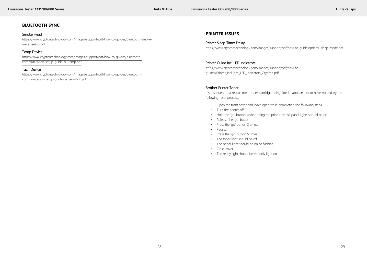# **BLUETOOTH SYNC**

#### Smoke Head

https://www.cryptontechnology.com/images/support/pdf/how-to-guides/bluetooth-smokemeter-setup.pdf

### Temp Device

https://www.cryptontechnology.com/images/support/pdf/how-to-guides/bluetoothcommunication-setup-guide-oil-temp.pdf

### Tach Device

https://www.cryptontechnology.com/images/support/pdf/how-to-guides/bluetoothcommunication-setup-guide-battery-tach.pdf

# **PRINTER ISSUES**

### Printer Sleep Timer Delay

https://www.cryptontechnology.com/images/support/pdf/how-to-guides/printer-sleep-mode.pdf

# Printer Guide Inc. LED Indicators

https://www.cryptontechnology.com/images/support/pdf/how-toguides/Printer\_Includes\_LED\_Indicators\_Crypton.pdf

#### Brother Printer Toner

If subsequent to a replacement toner cartridge being fitted it appears not to have worked try the following reset process.

- Open the front cover and leave open while completing the following steps.
- Turn the printer off.
- Hold the 'go' button while turning the printer on. All panel lights should be on.
- Release the 'go' button.
- Press the 'go' button 2 times.
- Pause.
- Press the 'go' button 5 times.
- The toner light should be off.
- The paper light should be on or flashing.
- Close cover.
- The ready light should be the only light on